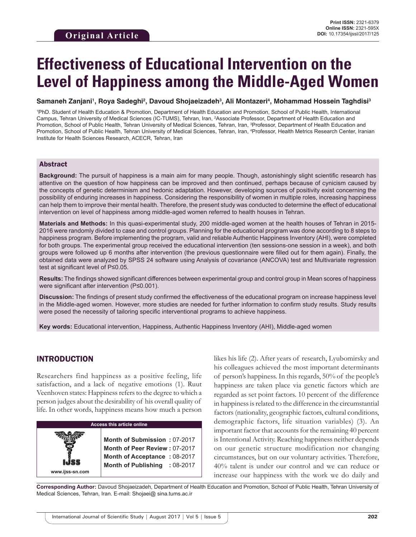# **Effectiveness of Educational Intervention on the Level of Happiness among the Middle-Aged Women**

#### Samaneh Zanjani<sup>ı</sup>, Roya Sadeghi<sup>2</sup>, Davoud Shojaeizadeh<sup>3</sup>, Ali Montazeri<sup>4</sup>, Mohammad Hossein Taghdisi<sup>3</sup>

1 PhD. Student of Health Education & Promotion, Department of Health Education and Promotion, School of Public Health, International Campus, Tehran University of Medical Sciences (IC-TUMS), Tehran, Iran, <sup>2</sup>Associate Professor, Department of Health Education and Promotion, School of Public Health, Tehran University of Medical Sciences, Tehran, Iran, <sup>3</sup>Professor, Department of Health Education and Promotion, School of Public Health, Tehran University of Medical Sciences, Tehran, Iran, 4 Professor, Health Metrics Research Center, Iranian Institute for Health Sciences Research, ACECR, Tehran, Iran

#### Abstract

**Background:** The pursuit of happiness is a main aim for many people. Though, astonishingly slight scientific research has attentive on the question of how happiness can be improved and then continued, perhaps because of cynicism caused by the concepts of genetic determinism and hedonic adaptation. However, developing sources of positivity exist concerning the possibility of enduring increases in happiness. Considering the responsibility of women in multiple roles, increasing happiness can help them to improve their mental health. Therefore, the present study was conducted to determine the effect of educational intervention on level of happiness among middle-aged women referred to health houses in Tehran.

**Materials and Methods:** In this quasi-experimental study, 200 middle-aged women at the health houses of Tehran in 2015- 2016 were randomly divided to case and control groups. Planning for the educational program was done according to 8 steps to happiness program. Before implementing the program, valid and reliable Authentic Happiness Inventory (AHI), were completed for both groups. The experimental group received the educational intervention (ten sessions-one session in a week), and both groups were followed up 6 months after intervention (the previous questionnaire were filled out for them again). Finally, the obtained data were analyzed by SPSS 24 software using Analysis of covariance (ANCOVA) test and Multivariate regression test at significant level of P≤0.05.

**Results:** The findings showed significant differences between experimental group and control group in Mean scores of happiness were significant after intervention (P≤0.001).

**Discussion:** The findings of present study confirmed the effectiveness of the educational program on increase happiness level in the Middle-aged women. However, more studies are needed for further information to confirm study results. Study results were posed the necessity of tailoring specific interventional programs to achieve happiness.

**Key words:** Educational intervention, Happiness, Authentic Happiness Inventory (AHI), Middle-aged women

#### INTRODUCTION

Researchers find happiness as a positive feeling, life satisfaction, and a lack of negative emotions (1). Ruut Veenhoven states: Happiness refers to the degree to which a person judges about the desirability of his overall quality of life. In other words, happiness means how much a person

| <b>Access this article online</b> |                                                                                                                                |  |  |  |  |
|-----------------------------------|--------------------------------------------------------------------------------------------------------------------------------|--|--|--|--|
| www.ijss-sn.com                   | Month of Submission: 07-2017<br>Month of Peer Review: 07-2017<br>Month of Acceptance: 08-2017<br>Month of Publishing : 08-2017 |  |  |  |  |

likes his life (2). After years of research, Lyubomirsky and his colleagues achieved the most important determinants of person's happiness. In this regards, 50% of the people's happiness are taken place via genetic factors which are regarded as set point factors. 10 percent of the difference in happiness is related to the difference in the circumstantial factors (nationality, geographic factors, cultural conditions, demographic factors, life situation variables) (3). An important factor that accounts for the remaining 40 percent is Intentional Activity. Reaching happiness neither depends on our genetic structure modification nor changing circumstances, but on our voluntary activities. Therefore, 40% talent is under our control and we can reduce or increase our happiness with the work we do daily and

**Corresponding Author:** Davoud Shojaeizadeh, Department of Health Education and Promotion, School of Public Health, Tehran University of Medical Sciences, Tehran, Iran. E-mail: Shojaei@ sina.tums.ac.ir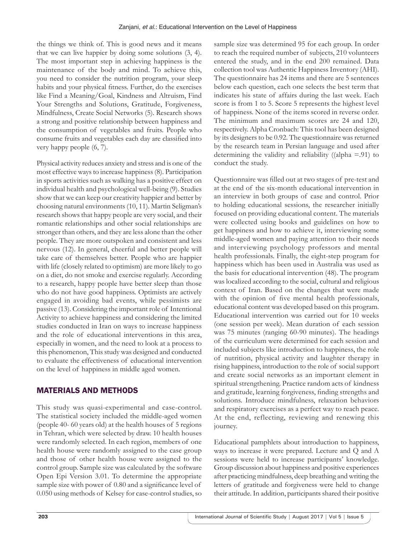the things we think of. This is good news and it means that we can live happier by doing some solutions (3, 4). The most important step in achieving happiness is the maintenance of the body and mind. To achieve this, you need to consider the nutrition program, your sleep habits and your physical fitness. Further, do the exercises like Find a Meaning/Goal, Kindness and Altruism, Find Your Strengths and Solutions, Gratitude, Forgiveness, Mindfulness, Create Social Networks (5). Research shows a strong and positive relationship between happiness and the consumption of vegetables and fruits. People who consume fruits and vegetables each day are classified into very happy people (6, 7).

Physical activity reduces anxiety and stress and is one of the most effective ways to increase happiness (8). Participation in sports activities such as walking has a positive effect on individual health and psychological well-being (9). Studies show that we can keep our creativity happier and better by choosing natural environments (10, 11). Martin Seligman's research shows that happy people are very social, and their romantic relationships and other social relationships are stronger than others, and they are less alone than the other people. They are more outspoken and consistent and less nervous (12). In general, cheerful and better people will take care of themselves better. People who are happier with life (closely related to optimism) are more likely to go on a diet, do not smoke and exercise regularly. According to a research, happy people have better sleep than those who do not have good happiness. Optimists are actively engaged in avoiding bad events, while pessimists are passive (13). Considering the important role of Intentional Activity to achieve happiness and considering the limited studies conducted in Iran on ways to increase happiness and the role of educational interventions in this area, especially in women, and the need to look at a process to this phenomenon, This study was designed and conducted to evaluate the effectiveness of educational intervention on the level of happiness in middle aged women.

## MATERIALS AND METHODS

This study was quasi-experimental and case-control. The statistical society included the middle-aged women (people 40- 60 years old) at the health houses of 5 regions in Tehran, which were selected by draw. 10 health houses were randomly selected. In each region, members of one health house were randomly assigned to the case group and those of other health house were assigned to the control group. Sample size was calculated by the software Open Epi Version 3.01. To determine the appropriate sample size with power of 0.80 and a significance level of 0.050 using methods of Kelsey for case-control studies, so sample size was determined 95 for each group. In order to reach the required number of subjects, 210 volunteers entered the study, and in the end 200 remained. Data collection tool was Authentic Happiness Inventory (AHI). The questionnaire has 24 items and there are 5 sentences below each question, each one selects the best term that indicates his state of affairs during the last week. Each score is from 1 to 5. Score 5 represents the highest level of happiness. None of the items scored in reverse order. The minimum and maximum scores are 24 and 120, respectively. Alpha Cronbach: This tool has been designed by its designers to be 0.92. The questionnaire was returned by the research team in Persian language and used after determining the validity and reliability ((alpha  $=$  91) to conduct the study.

Questionnaire was filled out at two stages of pre-test and at the end of the six-month educational intervention in an interview in both groups of case and control. Prior to holding educational sessions, the researcher initially focused on providing educational content. The materials were collected using books and guidelines on how to get happiness and how to achieve it, interviewing some middle-aged women and paying attention to their needs and interviewing psychology professors and mental health professionals. Finally, the eight-step program for happiness which has been used in Australia was used as the basis for educational intervention (48). The program was localized according to the social, cultural and religious context of Iran. Based on the changes that were made with the opinion of five mental health professionals, educational content was developed based on this program. Educational intervention was carried out for 10 weeks (one session per week). Mean duration of each session was 75 minutes (ranging 60-90 minutes). The headings of the curriculum were determined for each session and included subjects like introduction to happiness, the role of nutrition, physical activity and laughter therapy in rising happiness, introduction to the role of social support and create social networks as an important element in spiritual strengthening. Practice random acts of kindness and gratitude, learning forgiveness, finding strengths and solutions. Introduce mindfulness, relaxation behaviors and respiratory exercises as a perfect way to reach peace. At the end, reflecting, reviewing and renewing this journey.

Educational pamphlets about introduction to happiness, ways to increase it were prepared. Lecture and Q and A sessions were held to increase participants' knowledge. Group discussion about happiness and positive experiences after practicing mindfulness, deep breathing and writing the letters of gratitude and forgiveness were held to change their attitude. In addition, participants shared their positive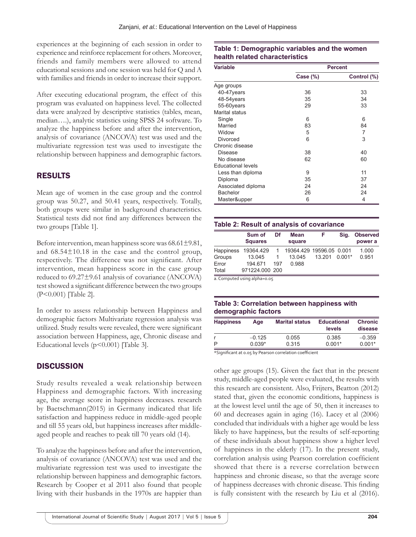experiences at the beginning of each session in order to experience and reinforce replacement for others. Moreover, friends and family members were allowed to attend educational sessions and one session was held for Q and A with families and friends in order to increase their support.

After executing educational program, the effect of this program was evaluated on happiness level. The collected data were analyzed by descriptive statistics (tables, mean, median….), analytic statistics using SPSS 24 software. To analyze the happiness before and after the intervention, analysis of covariance (ANCOVA) test was used and the multivariate regression test was used to investigate the relationship between happiness and demographic factors.

## RESULTS

Mean age of women in the case group and the control group was 50.27, and 50.41 years, respectively. Totally, both groups were similar in background characteristics. Statistical tests did not find any differences between the two groups [Table 1].

Before intervention, mean happiness score was 68.61±9.81, and 68.54±10.18 in the case and the control group, respectively. The difference was not significant. After intervention, mean happiness score in the case group reduced to 69.27±9.61 analysis of covariance (ANCOVA) test showed a significant difference between the two groups (P<0.001) [Table 2].

In order to assess relationship between Happiness and demographic factors Multivariate regression analysis was utilized. Study results were revealed, there were significant association between Happiness, age, Chronic disease and Educational levels  $(p<0.001)$  [Table 3].

## **DISCUSSION**

Study results revealed a weak relationship between Happiness and demographic factors. With increasing age, the average score in happiness decreases. research by Baetschmann(2015) in Germany indicated that life satisfaction and happiness reduce in middle-aged people and till 55 years old, but happiness increases after middleaged people and reaches to peak till 70 years old (14).

To analyze the happiness before and after the intervention, analysis of covariance (ANCOVA) test was used and the multivariate regression test was used to investigate the relationship between happiness and demographic factors. Research by Cooper et al 2011 also found that people living with their husbands in the 1970s are happier than

#### **Table 1: Demographic variables and the women health related characteristics**

| <b>Variable</b>           | <b>Percent</b> |             |  |  |
|---------------------------|----------------|-------------|--|--|
|                           | Case $(\%)$    | Control (%) |  |  |
| Age groups                |                |             |  |  |
| 40-47years                | 36             | 33          |  |  |
| 48-54years                | 35             | 34          |  |  |
| 55-60years                | 29             | 33          |  |  |
| Marital status            |                |             |  |  |
| Single                    | 6              | 6           |  |  |
| Married                   | 83             | 84          |  |  |
| Widow                     | 5              | 7           |  |  |
| Divorced                  | 6              | 3           |  |  |
| Chronic disease           |                |             |  |  |
| Disease                   | 38             | 40          |  |  |
| No disease                | 62             | 60          |  |  |
| <b>Educational levels</b> |                |             |  |  |
| Less than diploma         | 9              | 11          |  |  |
| Diploma                   | 35             | 37          |  |  |
| Associated diploma        | 24             | 24          |  |  |
| <b>Bachelor</b>           | 26             | 24          |  |  |
| Master&upper              | 6              | 4           |  |  |

#### **Table 2: Result of analysis of covariance**

|                  | Sum of<br><b>Squares</b> | Df  | <b>Mean</b><br>square    | F      | Sia.     | <b>Observed</b><br>power a |
|------------------|--------------------------|-----|--------------------------|--------|----------|----------------------------|
| <b>Happiness</b> | 19364.429                | 1   | 19364.429 19596.05 0.001 |        |          | 1.000                      |
| Groups           | 13.045                   |     | 13.045                   | 13 201 | $0.001*$ | 0.951                      |
| Error            | 194 671                  | 197 | 0.988                    |        |          |                            |
| Total            | 971224.000 200           |     |                          |        |          |                            |

a. Computed using alpha=0.05

#### **Table 3: Correlation between happiness with demographic factors**

| <b>Happiness</b> | Aae      | <b>Marital status</b> | <b>Educational</b><br>levels | <b>Chronic</b><br>disease |
|------------------|----------|-----------------------|------------------------------|---------------------------|
|                  | $-0.125$ | 0.055                 | 0.385                        | $-0.359$                  |
| Р                | $0.039*$ | 0.315                 | $0.001*$                     | $0.001*$                  |
|                  |          | __                    |                              |                           |

\*Significant at 0.05 by Pearson correlation coefficient

other age groups (15). Given the fact that in the present study, middle-aged people were evaluated, the results with this research are consistent. Also, Frijters, Beatton (2012) stated that, given the economic conditions, happiness is at the lowest level until the age of 50, then it increases to 60 and decreases again in aging (16). Lacey et al (2006) concluded that individuals with a higher age would be less likely to have happiness, but the results of self-reporting of these individuals about happiness show a higher level of happiness in the elderly (17). In the present study, correlation analysis using Pearson correlation coefficient showed that there is a reverse correlation between happiness and chronic disease, so that the average score of happiness decreases with chronic disease. This finding is fully consistent with the research by Liu et al (2016).